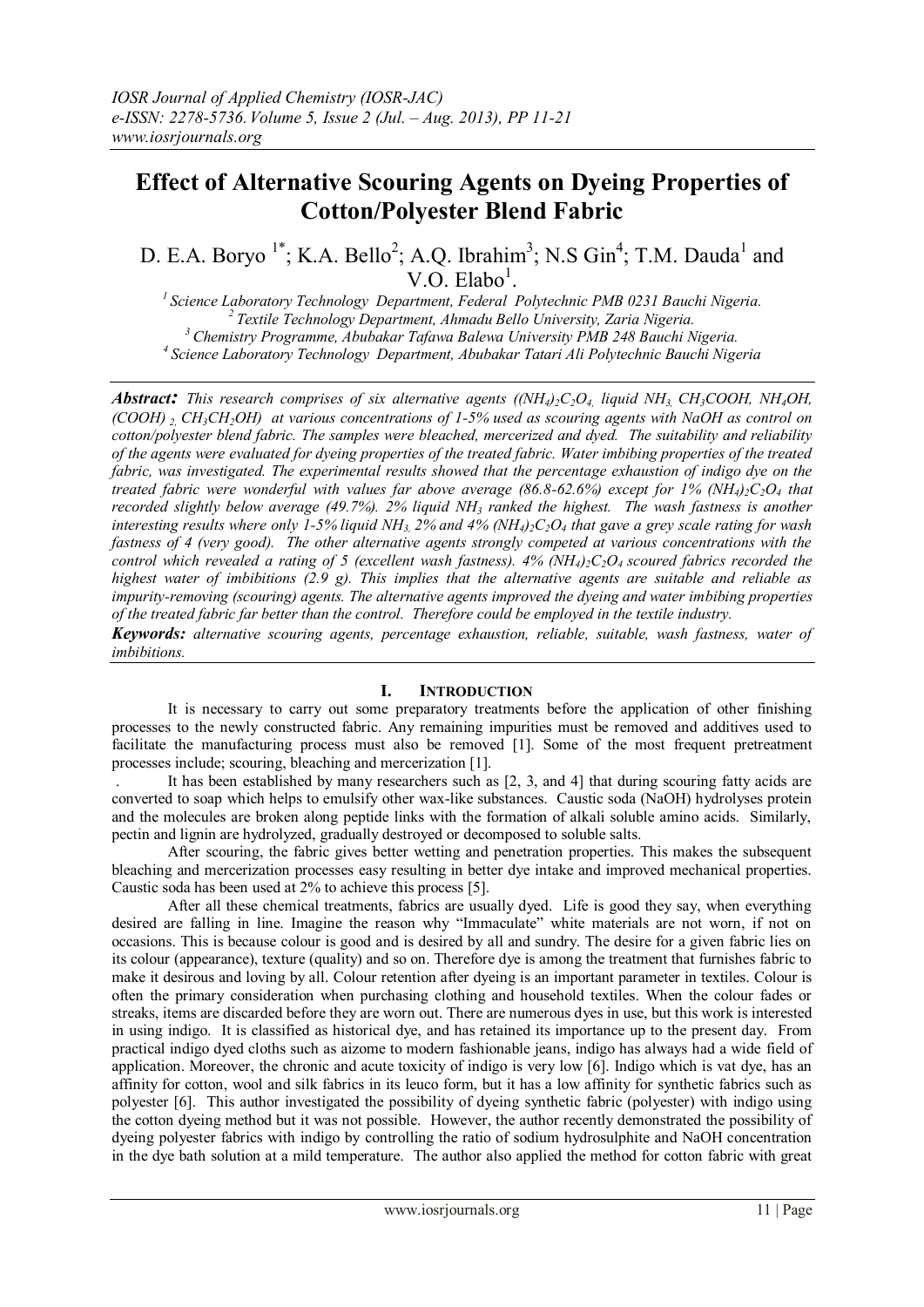# **Effect of Alternative Scouring Agents on Dyeing Properties of Cotton/Polyester Blend Fabric**

D. E.A. Boryo<sup>1\*</sup>; K.A. Bello<sup>2</sup>; A.Q. Ibrahim<sup>3</sup>; N.S Gin<sup>4</sup>; T.M. Dauda<sup>1</sup> and  $V.O.$  Elabo<sup>1</sup>.

*Science Laboratory Technology Department, Federal Polytechnic PMB 0231 Bauchi Nigeria. Textile Technology Department, Ahmadu Bello University, Zaria Nigeria. Chemistry Programme, Abubakar Tafawa Balewa University PMB 248 Bauchi Nigeria. Science Laboratory Technology Department, Abubakar Tatari Ali Polytechnic Bauchi Nigeria*

**Abstract:** This research comprises of six alternative agents ((NH<sub>4</sub>)<sub>2</sub>C<sub>2</sub>O<sub>4</sub>, liquid NH<sub>3</sub>, CH<sub>3</sub>COOH, NH<sub>4</sub>OH, *(COOH) 2, CH3CH2OH) at various concentrations of 1-5% used as scouring agents with NaOH as control on cotton/polyester blend fabric. The samples were bleached, mercerized and dyed. The suitability and reliability of the agents were evaluated for dyeing properties of the treated fabric. Water imbibing properties of the treated*  fabric, was investigated. The experimental results showed that the percentage exhaustion of indigo dye on the *treated fabric were wonderful with values far above average (86.8-62.6%) except for 1% (NH4)2C2O<sup>4</sup> that recorded slightly below average (49.7%). 2% liquid NH<sup>3</sup> ranked the highest. The wash fastness is another interesting results where only 1-5% liquid NH3, 2% and 4% (NH4)2C2O<sup>4</sup> that gave a grey scale rating for wash fastness of 4 (very good). The other alternative agents strongly competed at various concentrations with the control which revealed a rating of 5 (excellent wash fastness). 4% (NH4)2C2O<sup>4</sup> scoured fabrics recorded the highest water of imbibitions (2.9 g). This implies that the alternative agents are suitable and reliable as impurity-removing (scouring) agents. The alternative agents improved the dyeing and water imbibing properties of the treated fabric far better than the control. Therefore could be employed in the textile industry.*

*Keywords: alternative scouring agents, percentage exhaustion, reliable, suitable, wash fastness, water of imbibitions.* 

#### **I. INTRODUCTION**

It is necessary to carry out some preparatory treatments before the application of other finishing processes to the newly constructed fabric. Any remaining impurities must be removed and additives used to facilitate the manufacturing process must also be removed [1]. Some of the most frequent pretreatment processes include; scouring, bleaching and mercerization [1].

. It has been established by many researchers such as [2, 3, and 4] that during scouring fatty acids are converted to soap which helps to emulsify other wax-like substances. Caustic soda (NaOH) hydrolyses protein and the molecules are broken along peptide links with the formation of alkali soluble amino acids. Similarly, pectin and lignin are hydrolyzed, gradually destroyed or decomposed to soluble salts.

After scouring, the fabric gives better wetting and penetration properties. This makes the subsequent bleaching and mercerization processes easy resulting in better dye intake and improved mechanical properties. Caustic soda has been used at 2% to achieve this process [5].

After all these chemical treatments, fabrics are usually dyed. Life is good they say, when everything desired are falling in line. Imagine the reason why "Immaculate" white materials are not worn, if not on occasions. This is because colour is good and is desired by all and sundry. The desire for a given fabric lies on its colour (appearance), texture (quality) and so on. Therefore dye is among the treatment that furnishes fabric to make it desirous and loving by all. Colour retention after dyeing is an important parameter in textiles. Colour is often the primary consideration when purchasing clothing and household textiles. When the colour fades or streaks, items are discarded before they are worn out. There are numerous dyes in use, but this work is interested in using indigo. It is classified as historical dye, and has retained its importance up to the present day. From practical indigo dyed cloths such as aizome to modern fashionable jeans, indigo has always had a wide field of application. Moreover, the chronic and acute toxicity of indigo is very low [6]. Indigo which is vat dye, has an affinity for cotton, wool and silk fabrics in its leuco form, but it has a low affinity for synthetic fabrics such as polyester [6]. This author investigated the possibility of dyeing synthetic fabric (polyester) with indigo using the cotton dyeing method but it was not possible. However, the author recently demonstrated the possibility of dyeing polyester fabrics with indigo by controlling the ratio of sodium hydrosulphite and NaOH concentration in the dye bath solution at a mild temperature. The author also applied the method for cotton fabric with great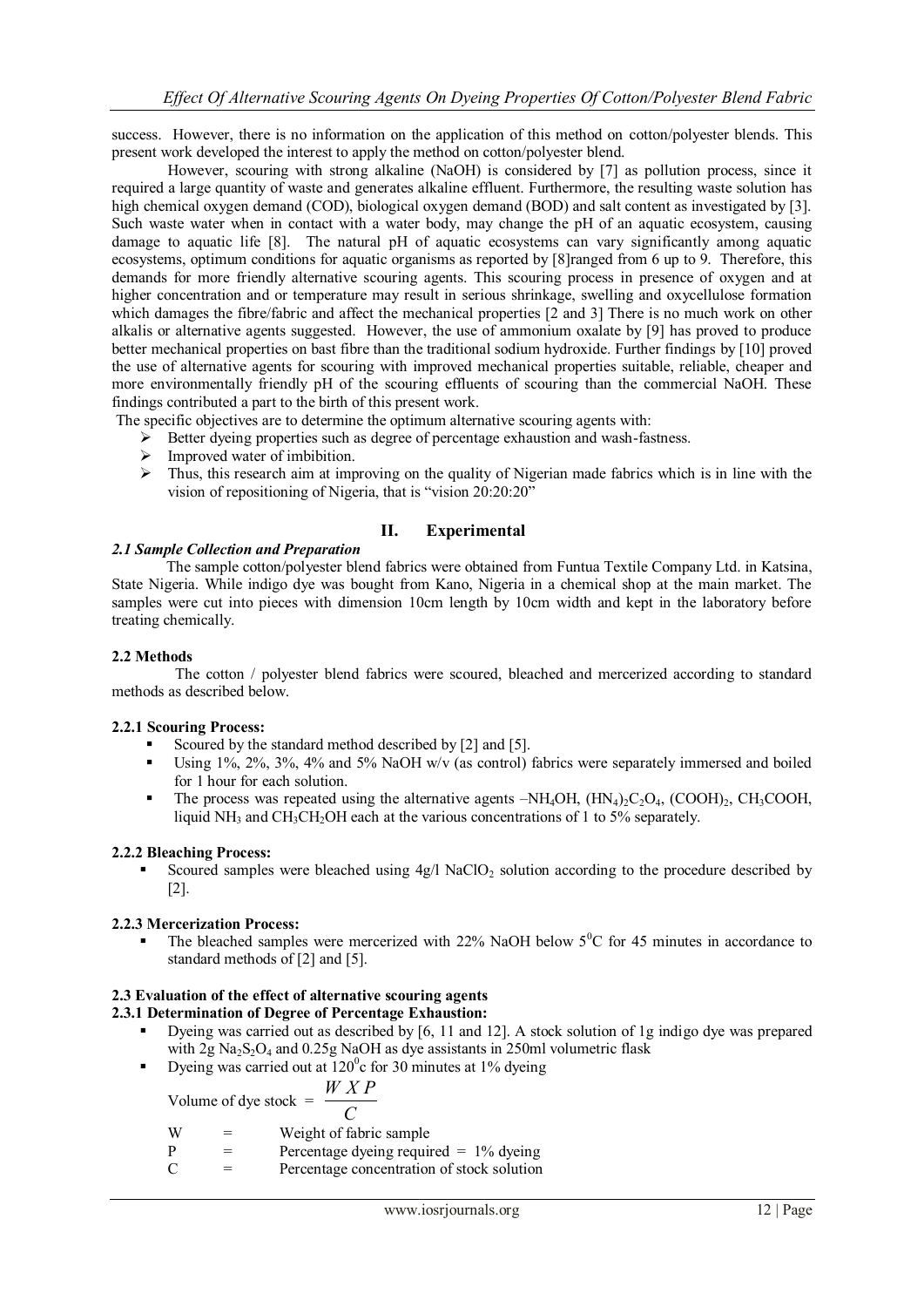success. However, there is no information on the application of this method on cotton/polyester blends. This present work developed the interest to apply the method on cotton/polyester blend.

However, scouring with strong alkaline (NaOH) is considered by [7] as pollution process, since it required a large quantity of waste and generates alkaline effluent. Furthermore, the resulting waste solution has high chemical oxygen demand (COD), biological oxygen demand (BOD) and salt content as investigated by [3]. Such waste water when in contact with a water body, may change the pH of an aquatic ecosystem, causing damage to aquatic life [8]. The natural pH of aquatic ecosystems can vary significantly among aquatic ecosystems, optimum conditions for aquatic organisms as reported by [8]ranged from 6 up to 9. Therefore, this demands for more friendly alternative scouring agents. This scouring process in presence of oxygen and at higher concentration and or temperature may result in serious shrinkage, swelling and oxycellulose formation which damages the fibre/fabric and affect the mechanical properties [2 and 3] There is no much work on other alkalis or alternative agents suggested. However, the use of ammonium oxalate by [9] has proved to produce better mechanical properties on bast fibre than the traditional sodium hydroxide. Further findings by [10] proved the use of alternative agents for scouring with improved mechanical properties suitable, reliable, cheaper and more environmentally friendly pH of the scouring effluents of scouring than the commercial NaOH. These findings contributed a part to the birth of this present work.

The specific objectives are to determine the optimum alternative scouring agents with:

- $\triangleright$  Better dyeing properties such as degree of percentage exhaustion and wash-fastness.
- > Improved water of imbibition.
- $\triangleright$  Thus, this research aim at improving on the quality of Nigerian made fabrics which is in line with the vision of repositioning of Nigeria, that is "vision 20:20:20"

# **II. Experimental**

# *2.1 Sample Collection and Preparation*

The sample cotton/polyester blend fabrics were obtained from Funtua Textile Company Ltd. in Katsina, State Nigeria. While indigo dye was bought from Kano, Nigeria in a chemical shop at the main market. The samples were cut into pieces with dimension 10cm length by 10cm width and kept in the laboratory before treating chemically.

# **2.2 Methods**

 The cotton / polyester blend fabrics were scoured, bleached and mercerized according to standard methods as described below.

#### **2.2.1 Scouring Process:**

- Scoured by the standard method described by [2] and [5].
- Using 1%, 2%, 3%, 4% and 5% NaOH w/v (as control) fabrics were separately immersed and boiled for 1 hour for each solution.
- The process was repeated using the alternative agents  $-NH_4OH$ ,  $(HN_4)_2C_2O_4$ ,  $(COOH)_2$ ,  $CH_3COOH$ , liquid NH<sub>3</sub> and CH<sub>3</sub>CH<sub>2</sub>OH each at the various concentrations of 1 to 5% separately.

#### **2.2.2 Bleaching Process:**

Scoured samples were bleached using  $4g/1$  NaClO<sub>2</sub> solution according to the procedure described by [2].

# **2.2.3 Mercerization Process:**

The bleached samples were mercerized with  $22\%$  NaOH below  $5^{\circ}$ C for 45 minutes in accordance to standard methods of [2] and [5].

# **2.3 Evaluation of the effect of alternative scouring agents**

# **2.3.1 Determination of Degree of Percentage Exhaustion:**

- Dyeing was carried out as described by [6, 11 and 12]. A stock solution of 1g indigo dye was prepared with 2g  $Na<sub>2</sub>S<sub>2</sub>O<sub>4</sub>$  and 0.25g NaOH as dye assistants in 250ml volumetric flask
- Dyeing was carried out at  $120^{\circ}$ c for 30 minutes at 1% dyeing

Volume of dye stock = 
$$
\frac{WXP}{Z}
$$

*C*

- $W =$  Weight of fabric sample
- $P =$  Percentage dyeing required = 1% dyeing
- $C =$  Percentage concentration of stock solution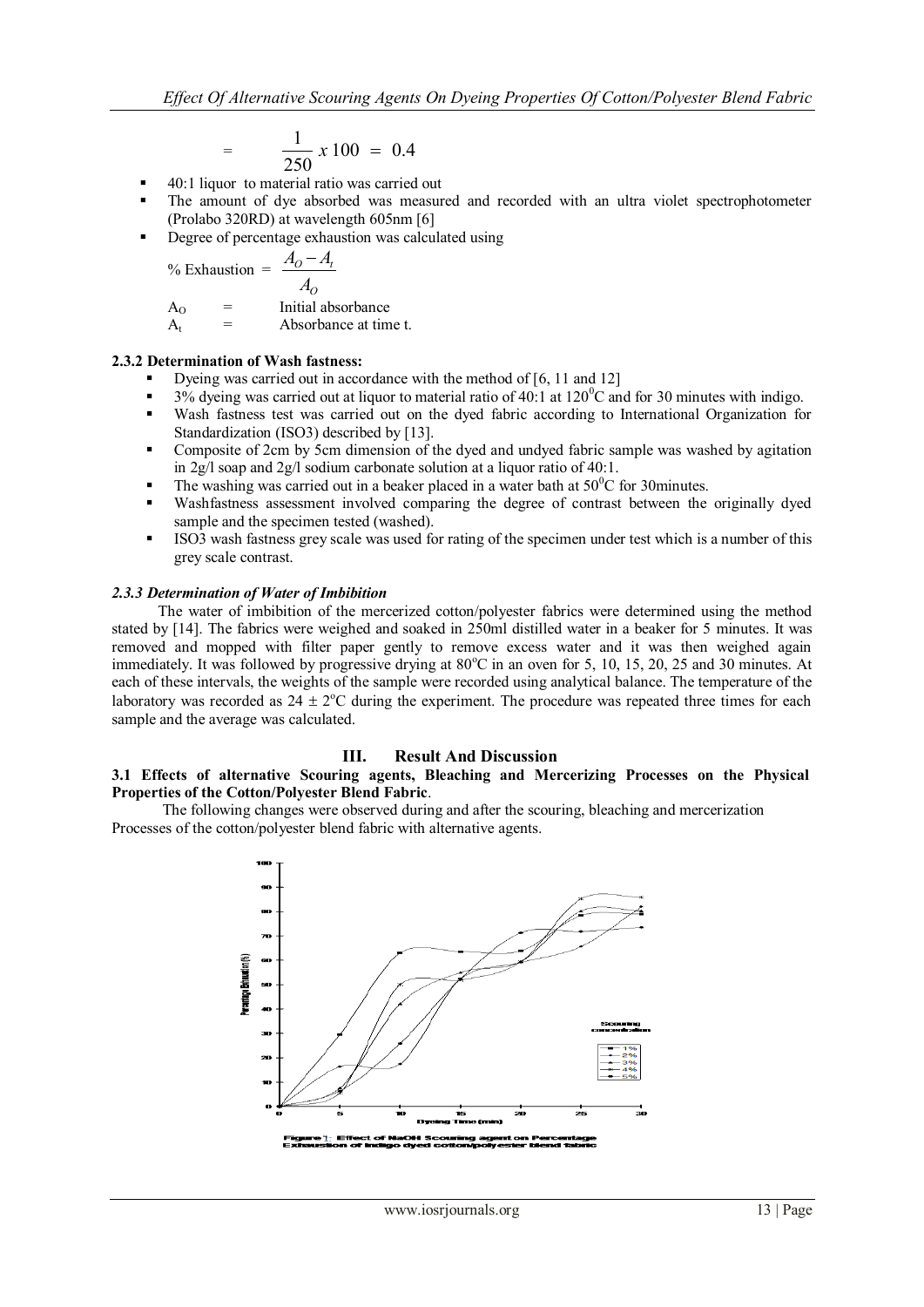$$
= \frac{1}{250} \times 100 = 0.4
$$

- 40:1 liquor to material ratio was carried out
- The amount of dye absorbed was measured and recorded with an ultra violet spectrophotometer (Prolabo 320RD) at wavelength 605nm [6]
- Degree of percentage exhaustion was calculated using

$$
\frac{9}{6}
$$
Exhaustion = 
$$
\frac{A_0 - A_t}{A_0}
$$

$$
\begin{array}{cc} & A_0 \end{array}
$$

 $A_{\text{O}}$  = Initial absorbance

$$
A_t = Absorbance at time t.
$$

# **2.3.2 Determination of Wash fastness:**

- Dyeing was carried out in accordance with the method of [6, 11 and 12]
- 3% dyeing was carried out at liquor to material ratio of 40:1 at  $120^{\circ}$ C and for 30 minutes with indigo.
- Wash fastness test was carried out on the dyed fabric according to International Organization for Standardization (ISO3) described by [13].
- Composite of 2cm by 5cm dimension of the dyed and undyed fabric sample was washed by agitation in 2g/l soap and 2g/l sodium carbonate solution at a liquor ratio of 40:1.
- The washing was carried out in a beaker placed in a water bath at  $50^{\circ}$ C for 30minutes.
- Washfastness assessment involved comparing the degree of contrast between the originally dyed sample and the specimen tested (washed).
- ISO3 wash fastness grey scale was used for rating of the specimen under test which is a number of this grey scale contrast.

# *2.3.3 Determination of Water of Imbibition*

 The water of imbibition of the mercerized cotton/polyester fabrics were determined using the method stated by [14]. The fabrics were weighed and soaked in 250ml distilled water in a beaker for 5 minutes. It was removed and mopped with filter paper gently to remove excess water and it was then weighed again immediately. It was followed by progressive drying at  $80^{\circ}$ C in an oven for 5, 10, 15, 20, 25 and 30 minutes. At each of these intervals, the weights of the sample were recorded using analytical balance. The temperature of the laboratory was recorded as  $24 \pm 2$ °C during the experiment. The procedure was repeated three times for each sample and the average was calculated.

#### **III. Result And Discussion**

# **3.1 Effects of alternative Scouring agents, Bleaching and Mercerizing Processes on the Physical Properties of the Cotton/Polyester Blend Fabric**.

 The following changes were observed during and after the scouring, bleaching and mercerization Processes of the cotton/polyester blend fabric with alternative agents.

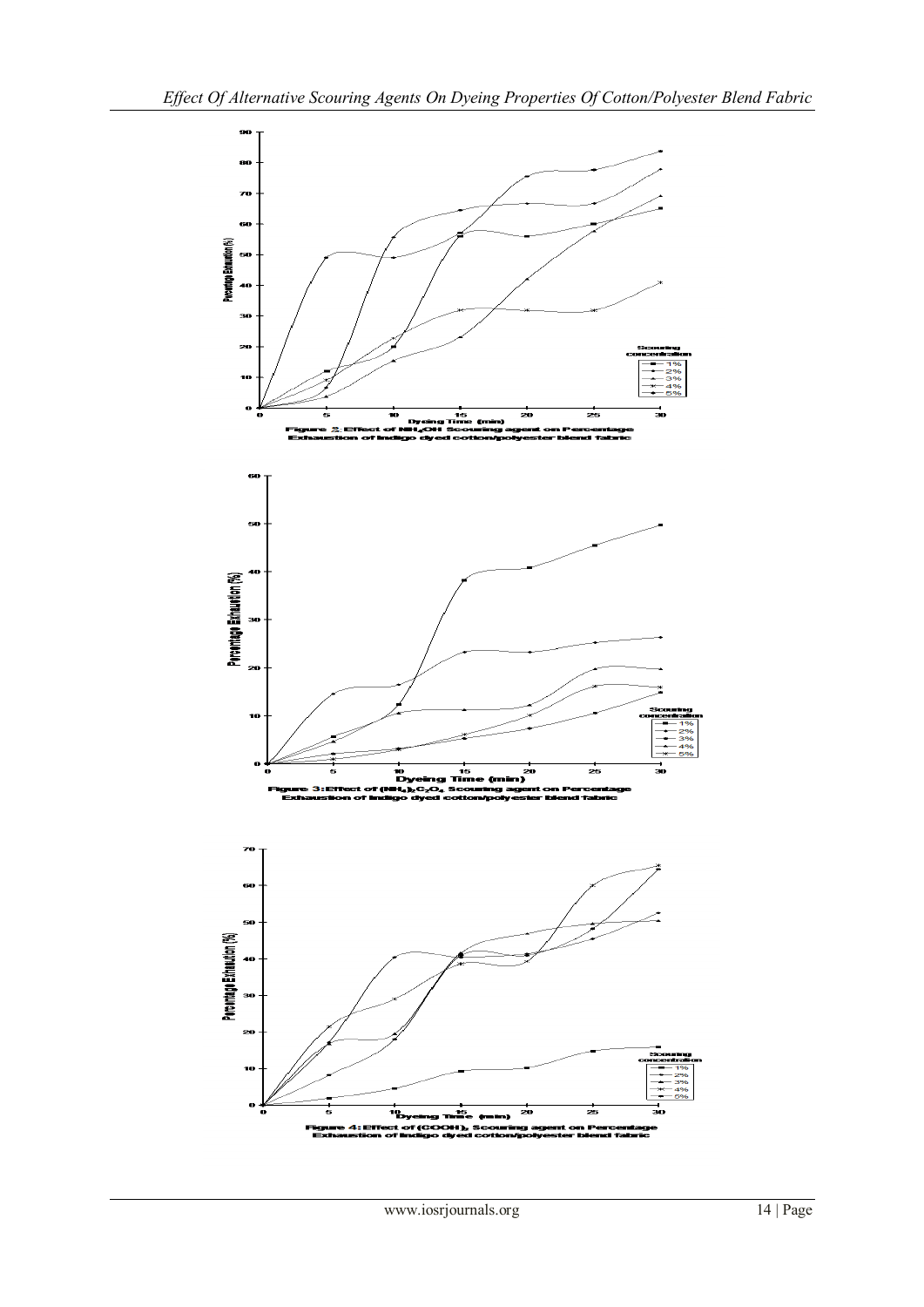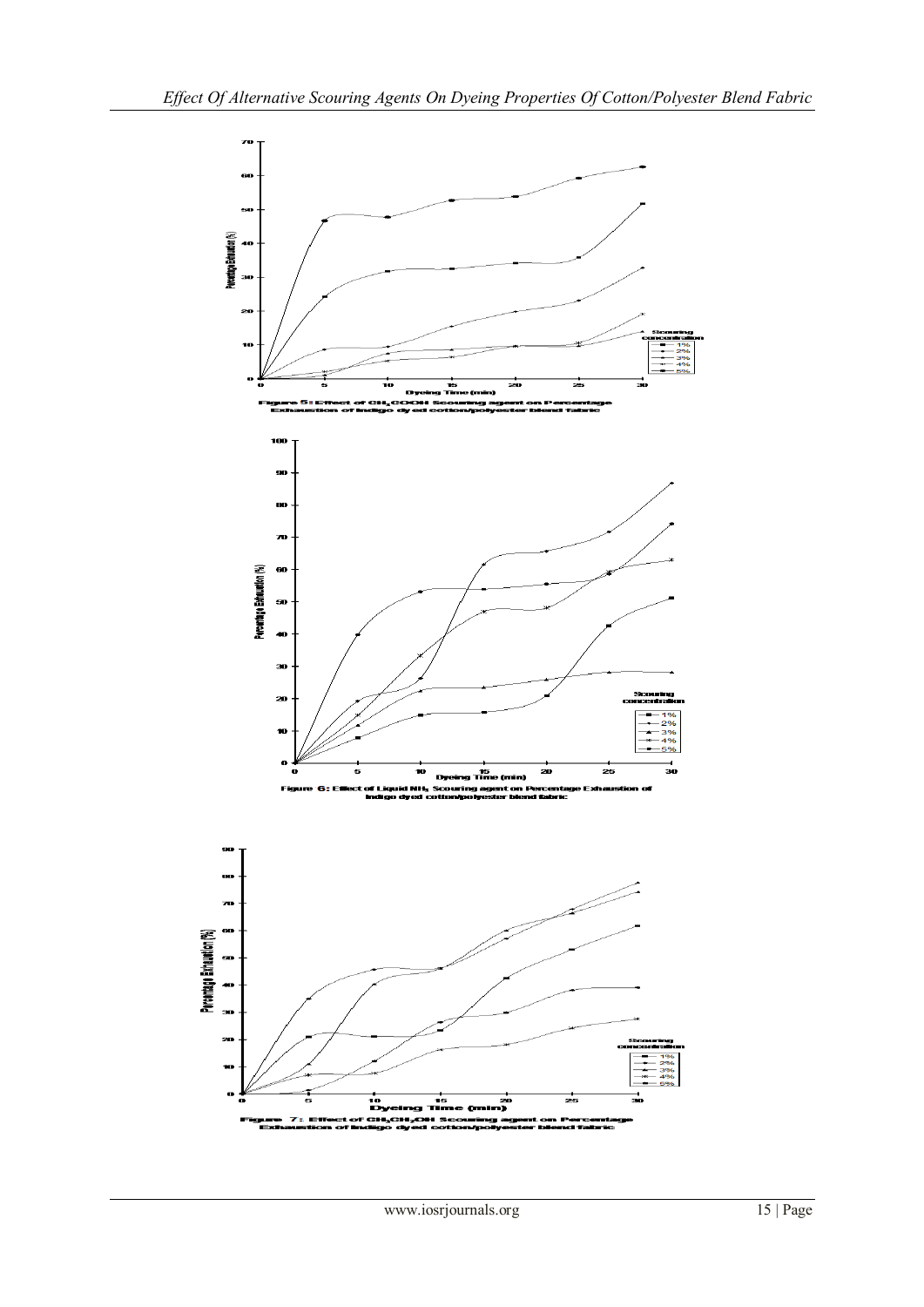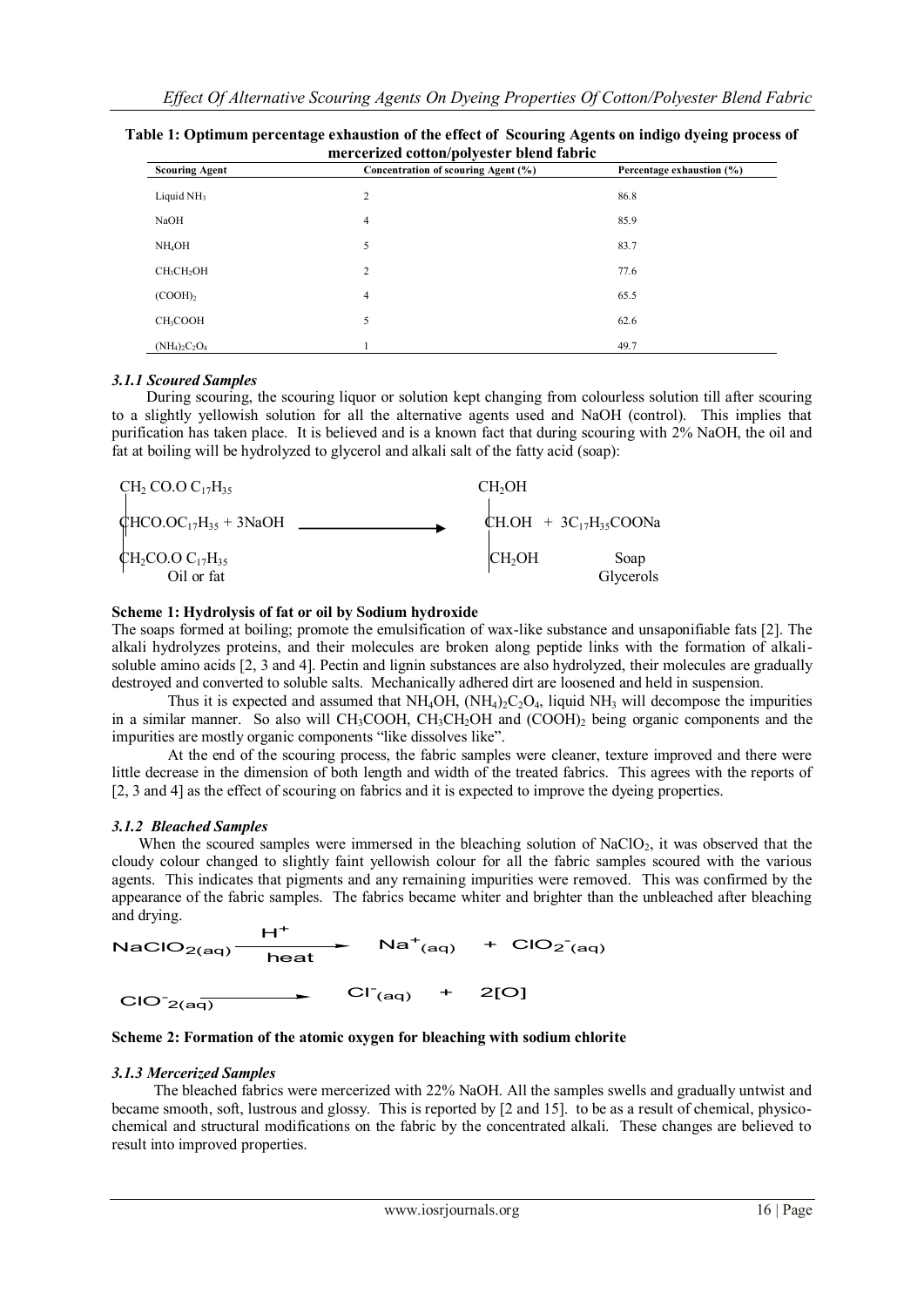| <b>Scouring Agent</b> | <u>mer een meu eottom port ester stemu morte</u><br>Concentration of scouring Agent (%) | Percentage exhaustion (%) |
|-----------------------|-----------------------------------------------------------------------------------------|---------------------------|
| Liquid $NH3$          | 2                                                                                       | 86.8                      |
| NaOH                  | $\overline{4}$                                                                          | 85.9                      |
| NH <sub>4</sub> OH    | 5                                                                                       | 83.7                      |
| $CH_3CH_2OH$          | $\overline{c}$                                                                          | 77.6                      |
| (COOH) <sub>2</sub>   | $\overline{4}$                                                                          | 65.5                      |
| CH <sub>3</sub> COOH  | 5                                                                                       | 62.6                      |
| $(NH_4)_2C_2O_4$      |                                                                                         | 49.7                      |

| Table 1: Optimum percentage exhaustion of the effect of Scouring Agents on indigo dyeing process of |  |  |
|-----------------------------------------------------------------------------------------------------|--|--|
| mercerized cotton/polyester blend fabric                                                            |  |  |

# *3.1.1 Scoured Samples*

 During scouring, the scouring liquor or solution kept changing from colourless solution till after scouring to a slightly yellowish solution for all the alternative agents used and NaOH (control). This implies that purification has taken place. It is believed and is a known fact that during scouring with 2% NaOH, the oil and fat at boiling will be hydrolyzed to glycerol and alkali salt of the fatty acid (soap):

| $CH2 CO.O C17H35$                                                                   | CH <sub>2</sub> OH |                              |
|-------------------------------------------------------------------------------------|--------------------|------------------------------|
| $QHCO.OC17H35 + 3NaOH$                                                              |                    | CH.OH + $3C_{17}H_{35}COONa$ |
| $\begin{array}{c} \n\bigoplus_2$ CO.O C <sub>17</sub> H <sub>35</sub><br>Oil or fat | CH <sub>2</sub> OH | Soap<br>Glycerols            |

# **Scheme 1: Hydrolysis of fat or oil by Sodium hydroxide**

The soaps formed at boiling; promote the emulsification of wax-like substance and unsaponifiable fats [2]. The alkali hydrolyzes proteins, and their molecules are broken along peptide links with the formation of alkalisoluble amino acids [2, 3 and 4]. Pectin and lignin substances are also hydrolyzed, their molecules are gradually destroyed and converted to soluble salts. Mechanically adhered dirt are loosened and held in suspension.

Thus it is expected and assumed that  $NH_4OH$ ,  $(NH_4)_2C_2O_4$ , liquid  $NH_3$  will decompose the impurities in a similar manner. So also will CH<sub>3</sub>COOH, CH<sub>3</sub>CH<sub>2</sub>OH and (COOH)<sub>2</sub> being organic components and the impurities are mostly organic components "like dissolves like".

At the end of the scouring process, the fabric samples were cleaner, texture improved and there were little decrease in the dimension of both length and width of the treated fabrics. This agrees with the reports of [2, 3 and 4] as the effect of scouring on fabrics and it is expected to improve the dyeing properties.

#### *3.1.2 Bleached Samples*

When the scoured samples were immersed in the bleaching solution of  $NaClO<sub>2</sub>$ , it was observed that the cloudy colour changed to slightly faint yellowish colour for all the fabric samples scoured with the various agents. This indicates that pigments and any remaining impurities were removed. This was confirmed by the appearance of the fabric samples. The fabrics became whiter and brighter than the unbleached after bleaching and drying.

 $H^+$  $\textsf{Na}^+_{\textsf{(aq)}}$  +  $\textsf{ClO}_2_{\textsf{(aq)}}$  $\mathsf{NaClO}_{2(\mathsf{aq})}$ heat  $CI<sup>-</sup>(aq)$  + 2[O]  $ClO^2_{(aq)}$  $\overline{\phantom{0}}$ 



#### *3.1.3 Mercerized Samples*

The bleached fabrics were mercerized with 22% NaOH. All the samples swells and gradually untwist and became smooth, soft, lustrous and glossy. This is reported by [2 and 15]. to be as a result of chemical, physicochemical and structural modifications on the fabric by the concentrated alkali. These changes are believed to result into improved properties.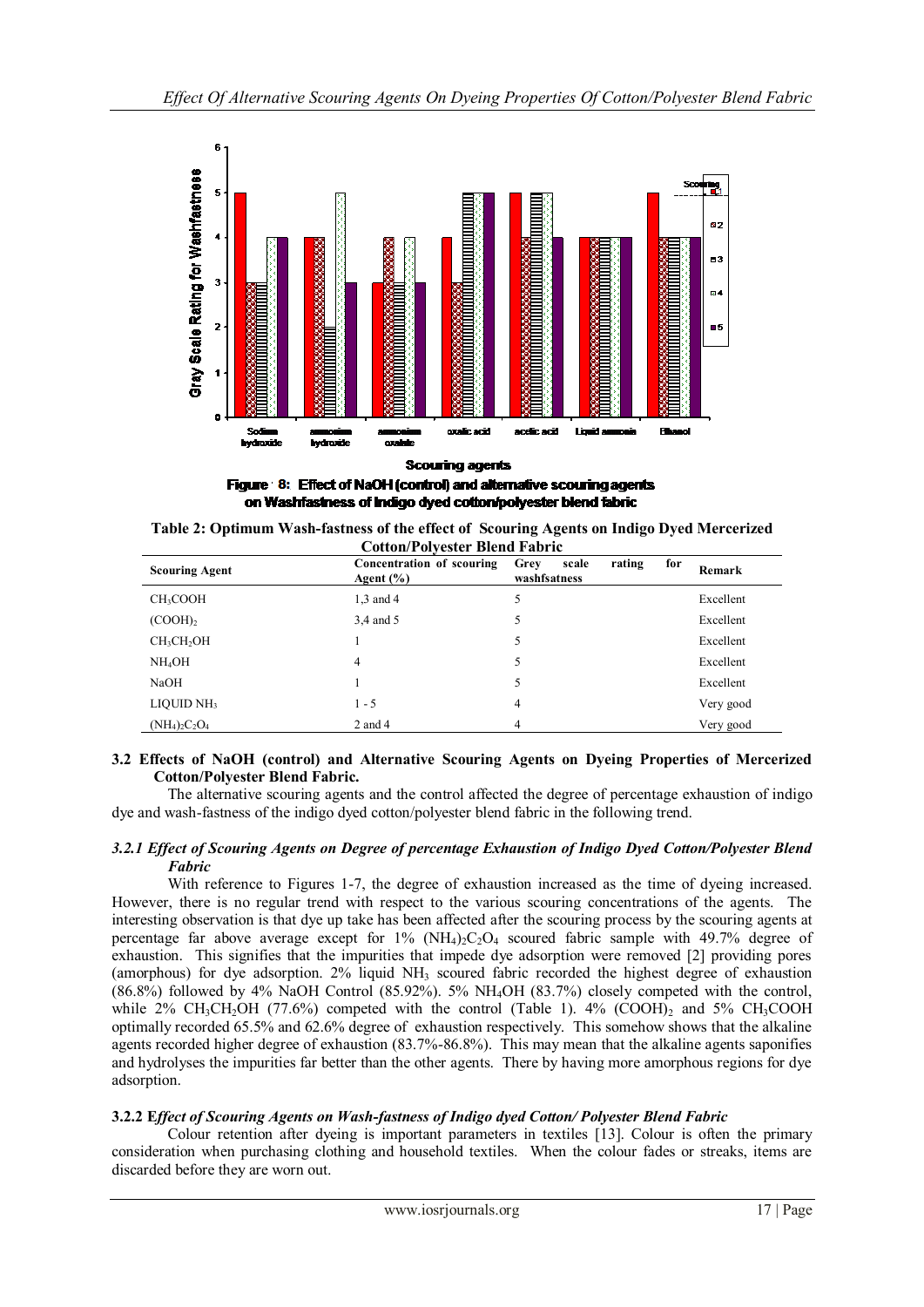

**Scouring agents** Figure 8: Effect of NaOH (control) and alternative scouring agents

on Washfastness of Indigo dyed cotton/polyester blend fabric

| <b>Cotton/Polvester Blend Fabric</b> |                                            |                               |        |     |           |
|--------------------------------------|--------------------------------------------|-------------------------------|--------|-----|-----------|
| <b>Scouring Agent</b>                | Concentration of scouring<br>Agent $(\% )$ | scale<br>Grey<br>washfsatness | rating | for | Remark    |
| CH <sub>3</sub> COOH                 | 1,3 and 4                                  | 5                             |        |     | Excellent |
| (COOH) <sub>2</sub>                  | 3.4 and 5                                  | 5                             |        |     | Excellent |
| CH <sub>3</sub> CH <sub>2</sub> OH   |                                            | 5                             |        |     | Excellent |
| NH <sub>4</sub> OH                   | 4                                          | 5                             |        |     | Excellent |
| NaOH                                 |                                            | 5                             |        |     | Excellent |
| LIQUID NH <sub>3</sub>               | $1 - 5$                                    | 4                             |        |     | Very good |
| $(NH_4)_2C_2O_4$                     | $2$ and $4$                                | 4                             |        |     | Very good |

| Table 2: Optimum Wash-fastness of the effect of Scouring Agents on Indigo Dyed Mercerized |  |  |
|-------------------------------------------------------------------------------------------|--|--|
| <b>Cotton/Polvester Blend Fabric</b>                                                      |  |  |

# **3.2 Effects of NaOH (control) and Alternative Scouring Agents on Dyeing Properties of Mercerized Cotton/Polyester Blend Fabric.**

The alternative scouring agents and the control affected the degree of percentage exhaustion of indigo dye and wash-fastness of the indigo dyed cotton/polyester blend fabric in the following trend.

# *3.2.1 Effect of Scouring Agents on Degree of percentage Exhaustion of Indigo Dyed Cotton/Polyester Blend Fabric*

With reference to Figures 1-7, the degree of exhaustion increased as the time of dyeing increased. However, there is no regular trend with respect to the various scouring concentrations of the agents. The interesting observation is that dye up take has been affected after the scouring process by the scouring agents at percentage far above average except for  $1\%$  (NH<sub>4</sub>)<sub>2</sub>C<sub>2</sub>O<sub>4</sub> scoured fabric sample with 49.7% degree of exhaustion. This signifies that the impurities that impede dye adsorption were removed [2] providing pores (amorphous) for dye adsorption. 2% liquid NH<sup>3</sup> scoured fabric recorded the highest degree of exhaustion  $(86.8\%)$  followed by 4% NaOH Control  $(85.92\%)$ . 5% NH<sub>4</sub>OH  $(83.7\%)$  closely competed with the control, while  $2\%$  CH<sub>3</sub>CH<sub>2</sub>OH (77.6%) competed with the control (Table 1).  $4\%$  (COOH)<sub>2</sub> and 5% CH<sub>3</sub>COOH optimally recorded 65.5% and 62.6% degree of exhaustion respectively. This somehow shows that the alkaline agents recorded higher degree of exhaustion (83.7%-86.8%). This may mean that the alkaline agents saponifies and hydrolyses the impurities far better than the other agents. There by having more amorphous regions for dye adsorption.

# **3.2.2 E***ffect of Scouring Agents on Wash-fastness of Indigo dyed Cotton/ Polyester Blend Fabric*

Colour retention after dyeing is important parameters in textiles [13]. Colour is often the primary consideration when purchasing clothing and household textiles. When the colour fades or streaks, items are discarded before they are worn out.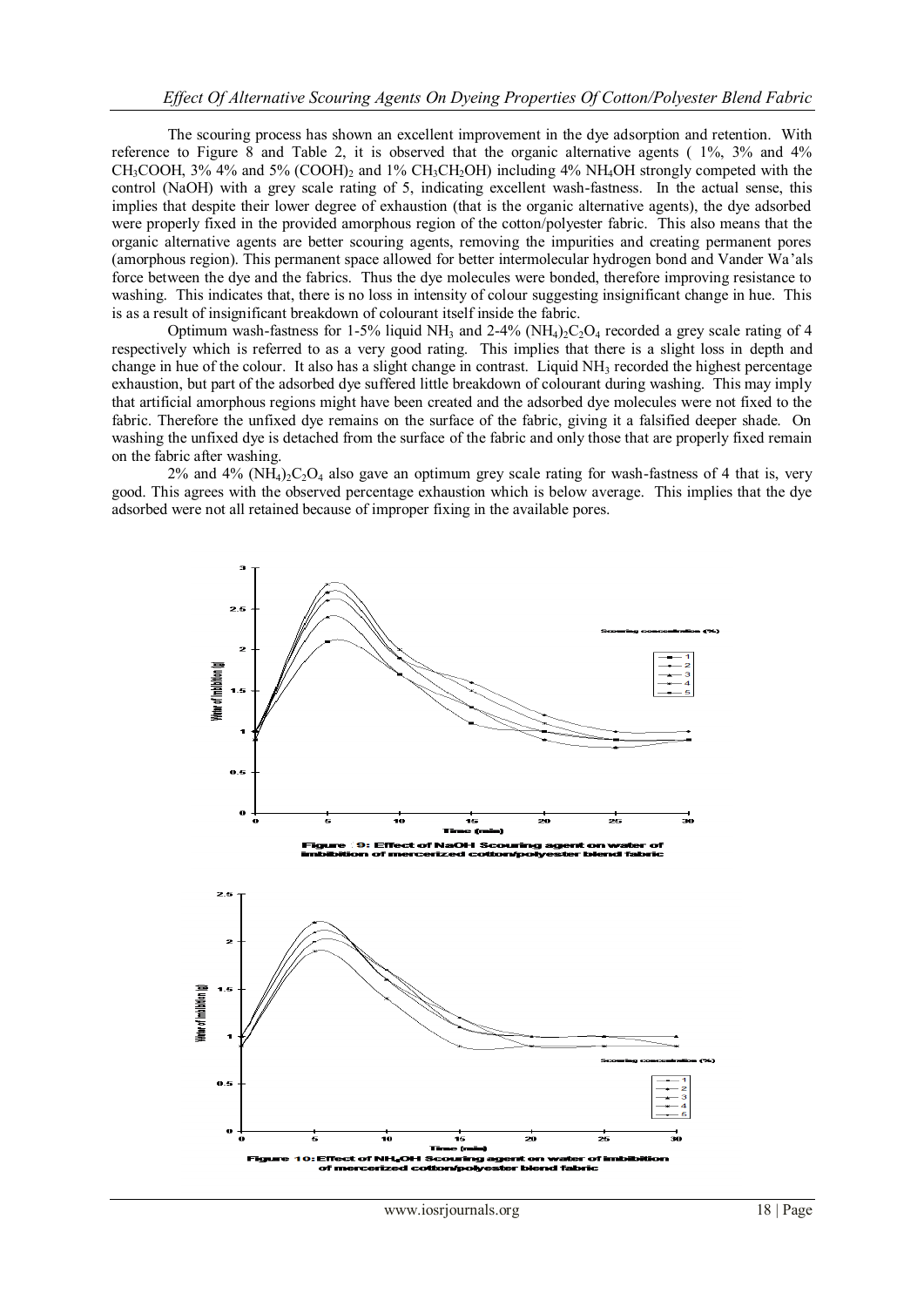The scouring process has shown an excellent improvement in the dye adsorption and retention. With reference to Figure 8 and Table 2, it is observed that the organic alternative agents ( 1%, 3% and 4% CH<sub>3</sub>COOH, 3% 4% and 5% (COOH)<sub>2</sub> and 1% CH<sub>3</sub>CH<sub>2</sub>OH) including 4% NH<sub>4</sub>OH strongly competed with the control (NaOH) with a grey scale rating of 5, indicating excellent wash-fastness. In the actual sense, this implies that despite their lower degree of exhaustion (that is the organic alternative agents), the dye adsorbed were properly fixed in the provided amorphous region of the cotton/polyester fabric. This also means that the organic alternative agents are better scouring agents, removing the impurities and creating permanent pores (amorphous region). This permanent space allowed for better intermolecular hydrogen bond and Vander Wa'als force between the dye and the fabrics. Thus the dye molecules were bonded, therefore improving resistance to washing. This indicates that, there is no loss in intensity of colour suggesting insignificant change in hue. This is as a result of insignificant breakdown of colourant itself inside the fabric.

Optimum wash-fastness for 1-5% liquid NH<sub>3</sub> and 2-4% (NH<sub>4</sub>)<sub>2</sub>C<sub>2</sub>O<sub>4</sub> recorded a grey scale rating of 4 respectively which is referred to as a very good rating. This implies that there is a slight loss in depth and change in hue of the colour. It also has a slight change in contrast. Liquid  $NH<sub>3</sub>$  recorded the highest percentage exhaustion, but part of the adsorbed dye suffered little breakdown of colourant during washing. This may imply that artificial amorphous regions might have been created and the adsorbed dye molecules were not fixed to the fabric. Therefore the unfixed dye remains on the surface of the fabric, giving it a falsified deeper shade. On washing the unfixed dye is detached from the surface of the fabric and only those that are properly fixed remain on the fabric after washing.

 $2\%$  and  $4\%$  (NH<sub>4</sub>)<sub>2</sub>C<sub>2</sub>O<sub>4</sub> also gave an optimum grey scale rating for wash-fastness of 4 that is, very good. This agrees with the observed percentage exhaustion which is below average. This implies that the dye adsorbed were not all retained because of improper fixing in the available pores.

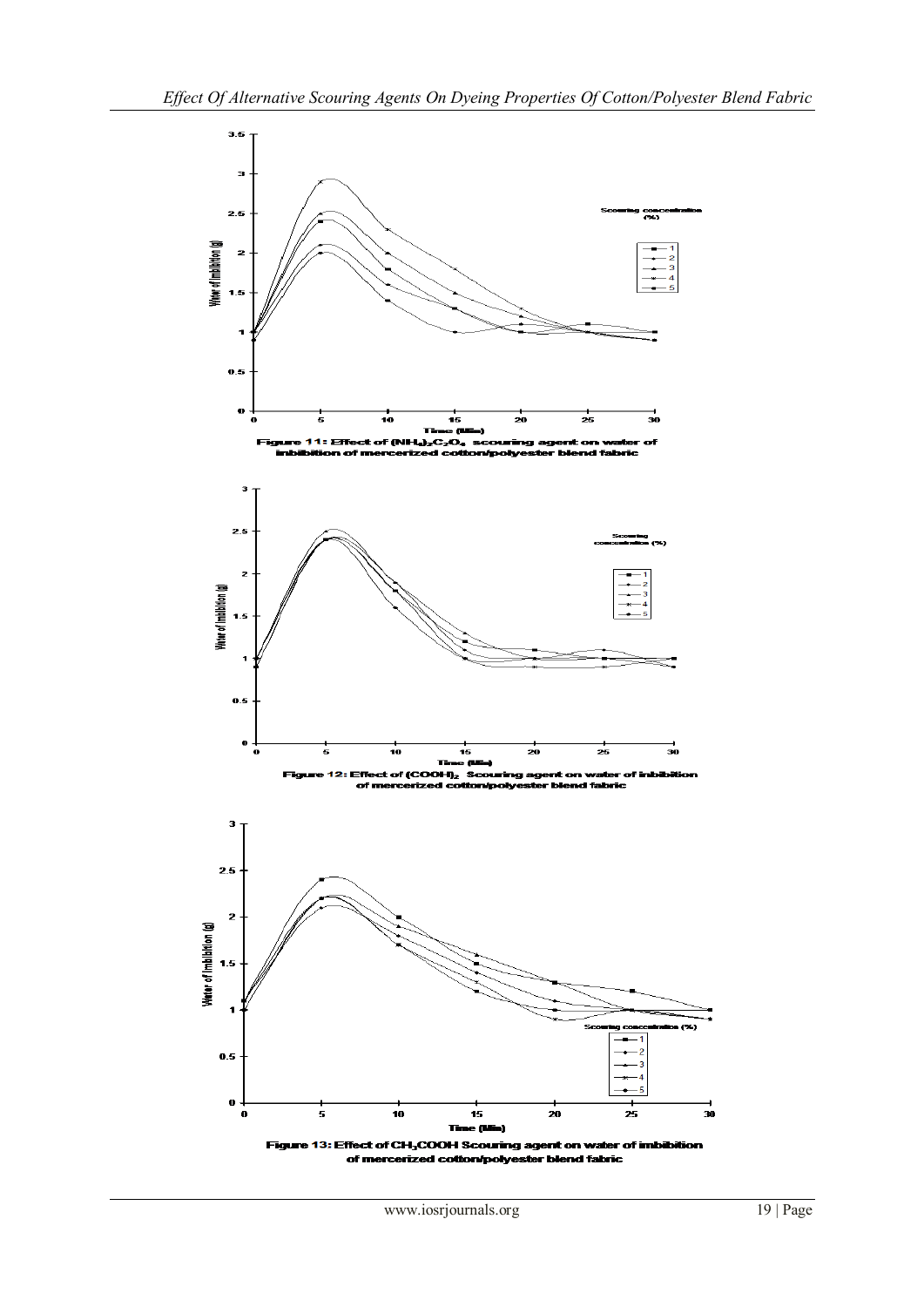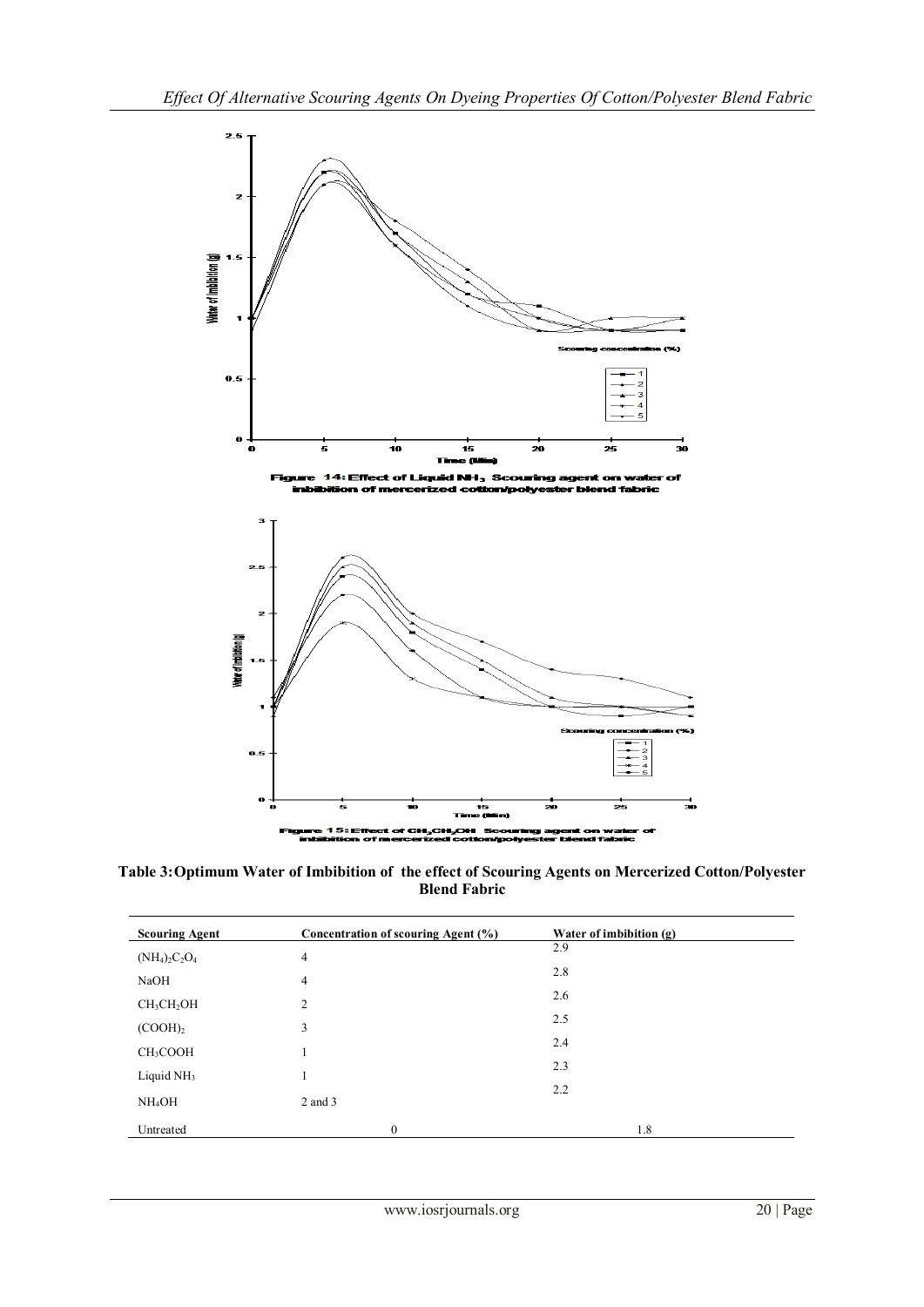



**Table 3:Optimum Water of Imbibition of the effect of Scouring Agents on Mercerized Cotton/Polyester Blend Fabric**

| <b>Scouring Agent</b>              | Concentration of scouring Agent (%) | Water of imbibition (g) |
|------------------------------------|-------------------------------------|-------------------------|
| $(NH_4)_2C_2O_4$                   | $\overline{4}$                      | 2.9                     |
| NaOH                               | $\overline{4}$                      | 2.8                     |
| CH <sub>3</sub> CH <sub>2</sub> OH | 2                                   | 2.6                     |
|                                    |                                     | 2.5                     |
| $(COOH)$ <sub>2</sub>              | 3                                   | 2.4                     |
| CH <sub>3</sub> COOH               |                                     | 2.3                     |
| Liquid $NH3$                       |                                     | 2.2                     |
| NH <sub>4</sub> OH                 | 2 and 3                             |                         |
| Untreated                          | $\mathbf{0}$                        | 1.8                     |